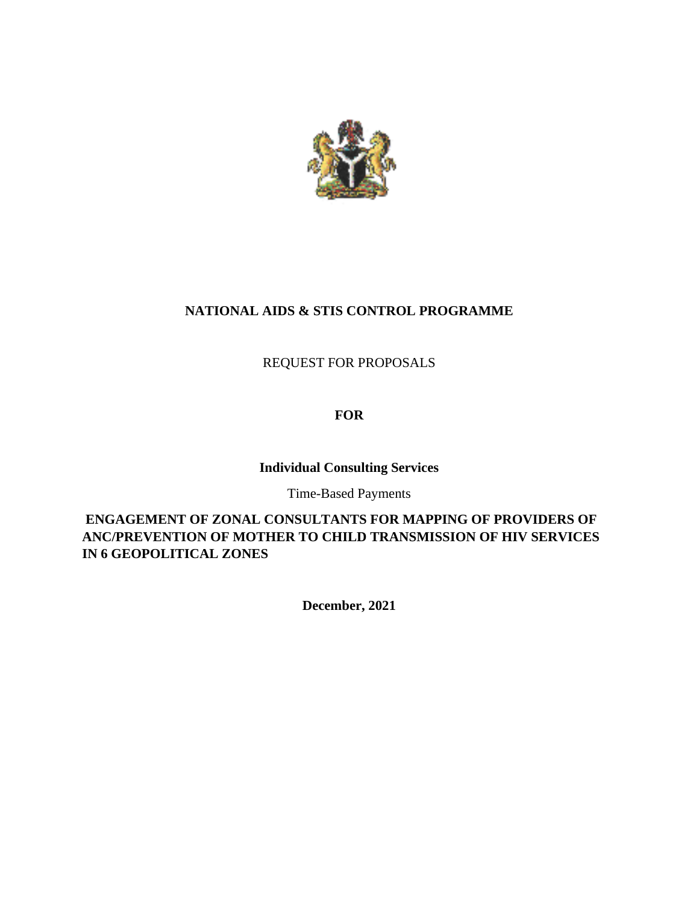

# **NATIONAL AIDS & STIS CONTROL PROGRAMME**

REQUEST FOR PROPOSALS

# **FOR**

## **Individual Consulting Services**

Time-Based Payments

**ENGAGEMENT OF ZONAL CONSULTANTS FOR MAPPING OF PROVIDERS OF ANC/PREVENTION OF MOTHER TO CHILD TRANSMISSION OF HIV SERVICES IN 6 GEOPOLITICAL ZONES**

**December, 2021**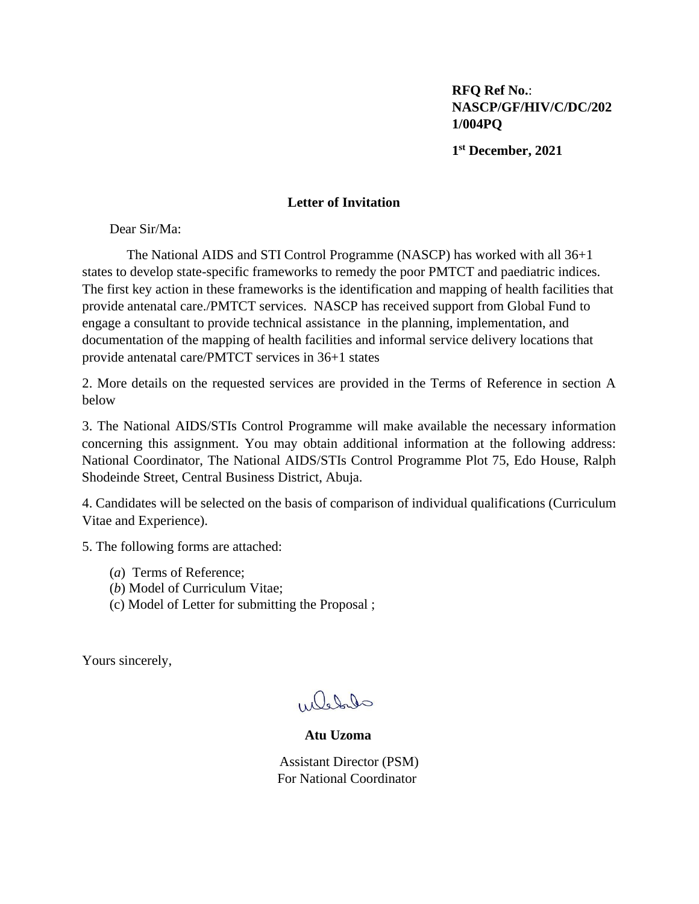**RFQ Ref No.**: **NASCP/GF/HIV/C/DC/202 1/004PQ**

**1 st December, 2021**

#### **Letter of Invitation**

Dear Sir/Ma:

The National AIDS and STI Control Programme (NASCP) has worked with all 36+1 states to develop state-specific frameworks to remedy the poor PMTCT and paediatric indices. The first key action in these frameworks is the identification and mapping of health facilities that provide antenatal care./PMTCT services. NASCP has received support from Global Fund to engage a consultant to provide technical assistance in the planning, implementation, and documentation of the mapping of health facilities and informal service delivery locations that provide antenatal care/PMTCT services in 36+1 states

2. More details on the requested services are provided in the Terms of Reference in section A below

3. The National AIDS/STIs Control Programme will make available the necessary information concerning this assignment. You may obtain additional information at the following address: National Coordinator, The National AIDS/STIs Control Programme Plot 75, Edo House, Ralph Shodeinde Street, Central Business District, Abuja.

4. Candidates will be selected on the basis of comparison of individual qualifications (Curriculum Vitae and Experience).

5. The following forms are attached:

- (*a*) Terms of Reference;
- (*b*) Model of Curriculum Vitae;
- (c) Model of Letter for submitting the Proposal ;

Yours sincerely,

which

 **Atu Uzoma**

Assistant Director (PSM) For National Coordinator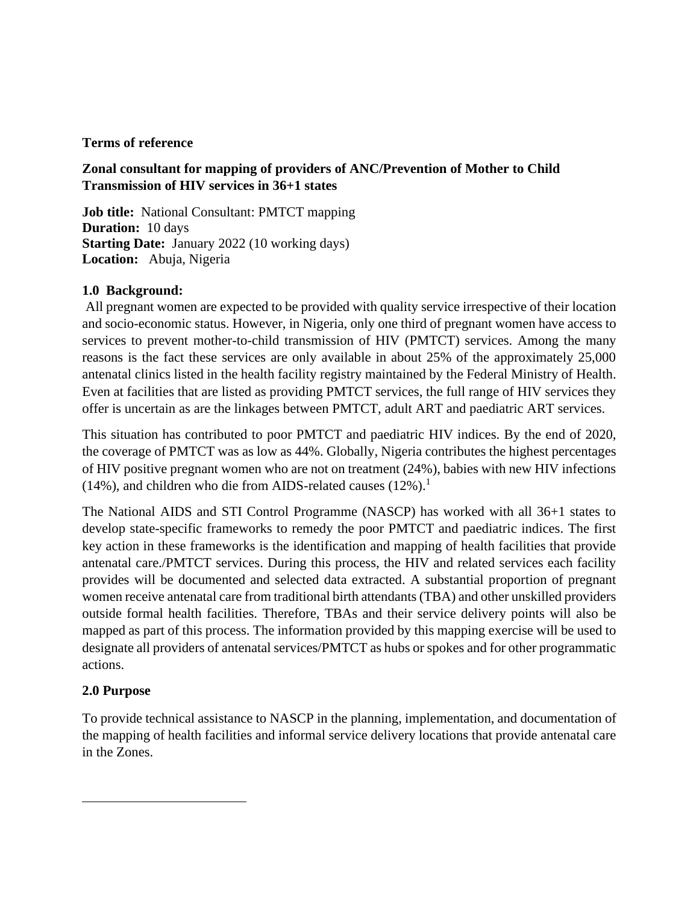#### **Terms of reference**

## **Zonal consultant for mapping of providers of ANC/Prevention of Mother to Child Transmission of HIV services in 36+1 states**

**Job title:** National Consultant: PMTCT mapping **Duration:** 10 days **Starting Date:** January 2022 (10 working days) **Location:** Abuja, Nigeria

#### **1.0 Background:**

All pregnant women are expected to be provided with quality service irrespective of their location and socio-economic status. However, in Nigeria, only one third of pregnant women have access to services to prevent mother-to-child transmission of HIV (PMTCT) services. Among the many reasons is the fact these services are only available in about 25% of the approximately 25,000 antenatal clinics listed in the health facility registry maintained by the Federal Ministry of Health. Even at facilities that are listed as providing PMTCT services, the full range of HIV services they offer is uncertain as are the linkages between PMTCT, adult ART and paediatric ART services.

This situation has contributed to poor PMTCT and paediatric HIV indices. By the end of 2020, the coverage of PMTCT was as low as 44%. Globally, Nigeria contributes the highest percentages of HIV positive pregnant women who are not on treatment (24%), babies with new HIV infections (14%), and children who die from AIDS-related causes  $(12\%)$ .<sup>1</sup>

The National AIDS and STI Control Programme (NASCP) has worked with all 36+1 states to develop state-specific frameworks to remedy the poor PMTCT and paediatric indices. The first key action in these frameworks is the identification and mapping of health facilities that provide antenatal care./PMTCT services. During this process, the HIV and related services each facility provides will be documented and selected data extracted. A substantial proportion of pregnant women receive antenatal care from traditional birth attendants (TBA) and other unskilled providers outside formal health facilities. Therefore, TBAs and their service delivery points will also be mapped as part of this process. The information provided by this mapping exercise will be used to designate all providers of antenatal services/PMTCT as hubs or spokes and for other programmatic actions.

#### **2.0 Purpose**

To provide technical assistance to NASCP in the planning, implementation, and documentation of the mapping of health facilities and informal service delivery locations that provide antenatal care in the Zones.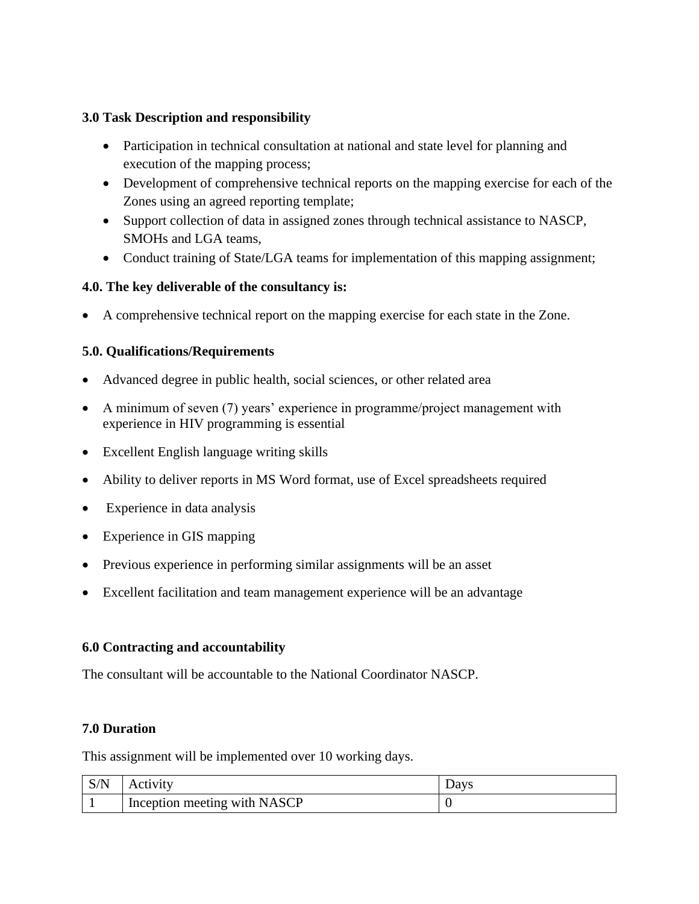# **3.0 Task Description and responsibility**

- Participation in technical consultation at national and state level for planning and execution of the mapping process;
- Development of comprehensive technical reports on the mapping exercise for each of the Zones using an agreed reporting template;
- Support collection of data in assigned zones through technical assistance to NASCP, SMOHs and LGA teams,
- Conduct training of State/LGA teams for implementation of this mapping assignment;

# **4.0. The key deliverable of the consultancy is:**

• A comprehensive technical report on the mapping exercise for each state in the Zone.

# **5.0. Qualifications/Requirements**

- Advanced degree in public health, social sciences, or other related area
- A minimum of seven (7) years' experience in programme/project management with experience in HIV programming is essential
- Excellent English language writing skills
- Ability to deliver reports in MS Word format, use of Excel spreadsheets required
- Experience in data analysis
- Experience in GIS mapping
- Previous experience in performing similar assignments will be an asset
- Excellent facilitation and team management experience will be an advantage

## **6.0 Contracting and accountability**

The consultant will be accountable to the National Coordinator NASCP.

## **7.0 Duration**

This assignment will be implemented over 10 working days.

| S/N | Activity                                  | Days |
|-----|-------------------------------------------|------|
|     | <sup>1</sup> Inception meeting with NASCP |      |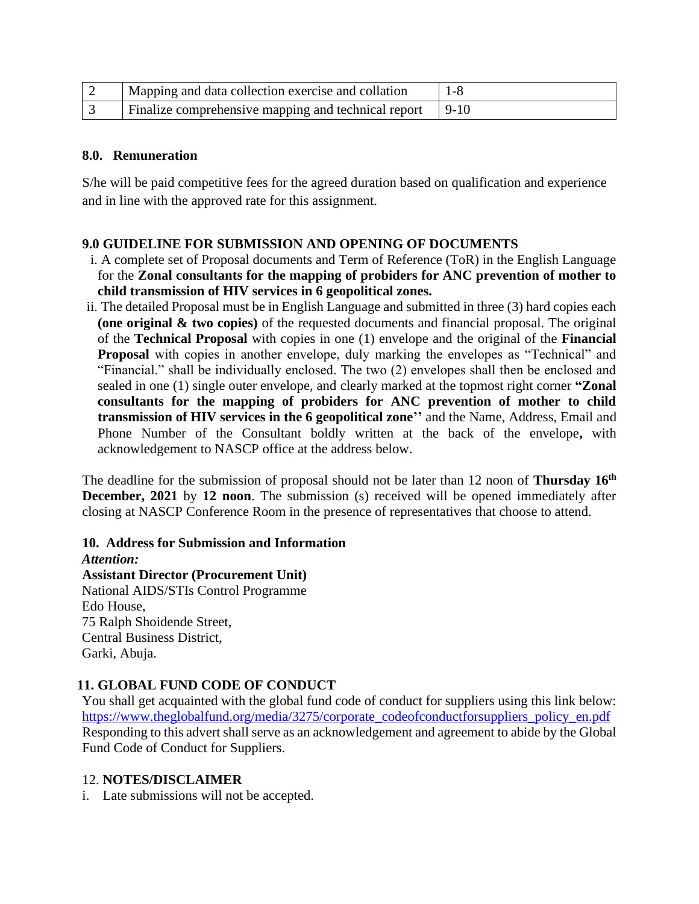| Mapping and data collection exercise and collation         | 1-8 |
|------------------------------------------------------------|-----|
| Finalize comprehensive mapping and technical report   9-10 |     |

#### **8.0. Remuneration**

S/he will be paid competitive fees for the agreed duration based on qualification and experience and in line with the approved rate for this assignment.

## **9.0 GUIDELINE FOR SUBMISSION AND OPENING OF DOCUMENTS**

- i. A complete set of Proposal documents and Term of Reference (ToR) in the English Language for the **Zonal consultants for the mapping of probiders for ANC prevention of mother to child transmission of HIV services in 6 geopolitical zones.**
- ii. The detailed Proposal must be in English Language and submitted in three (3) hard copies each **(one original & two copies)** of the requested documents and financial proposal. The original of the **Technical Proposal** with copies in one (1) envelope and the original of the **Financial Proposal** with copies in another envelope, duly marking the envelopes as "Technical" and "Financial." shall be individually enclosed. The two (2) envelopes shall then be enclosed and sealed in one (1) single outer envelope, and clearly marked at the topmost right corner **"Zonal consultants for the mapping of probiders for ANC prevention of mother to child transmission of HIV services in the 6 geopolitical zone''** and the Name, Address, Email and Phone Number of the Consultant boldly written at the back of the envelope**,** with acknowledgement to NASCP office at the address below.

The deadline for the submission of proposal should not be later than 12 noon of **Thursday 16th December, 2021** by **12 noon**. The submission (s) received will be opened immediately after closing at NASCP Conference Room in the presence of representatives that choose to attend.

**10. Address for Submission and Information** *Attention:* **Assistant Director (Procurement Unit)** National AIDS/STIs Control Programme Edo House, 75 Ralph Shoidende Street,

Central Business District, Garki, Abuja.

## **11. GLOBAL FUND CODE OF CONDUCT**

You shall get acquainted with the global fund code of conduct for suppliers using this link below: [https://www.theglobalfund.org/media/3275/corporate\\_codeofconductforsuppliers\\_policy\\_en.pdf](https://www.theglobalfund.org/media/3275/corporate_codeofconductforsuppliers_policy_en.pdf) Responding to this advert shall serve as an acknowledgement and agreement to abide by the Global Fund Code of Conduct for Suppliers.

#### 12. **NOTES/DISCLAIMER**

i. Late submissions will not be accepted.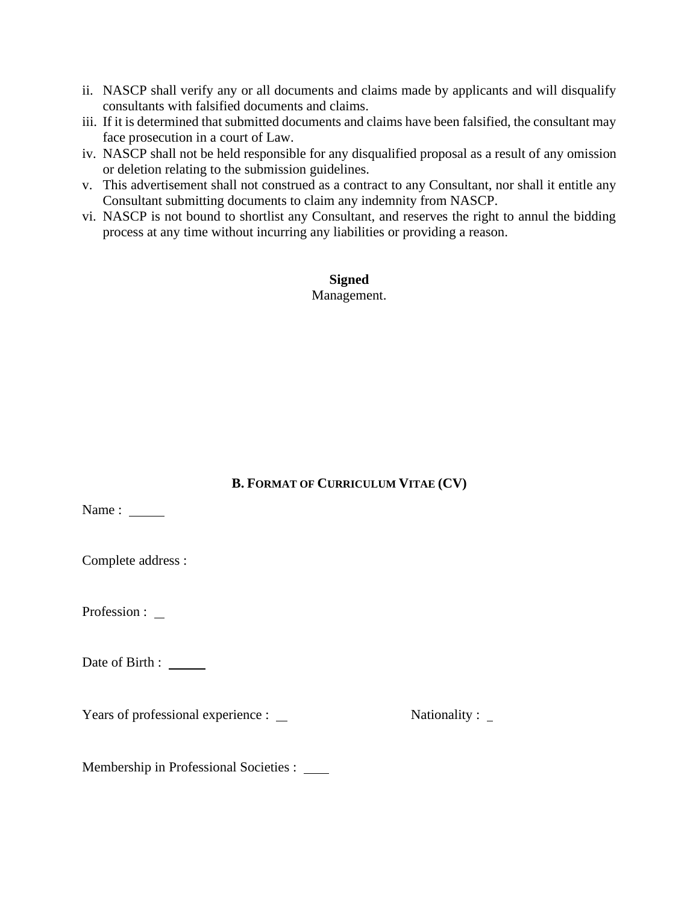- ii. NASCP shall verify any or all documents and claims made by applicants and will disqualify consultants with falsified documents and claims.
- iii. If it is determined that submitted documents and claims have been falsified, the consultant may face prosecution in a court of Law.
- iv. NASCP shall not be held responsible for any disqualified proposal as a result of any omission or deletion relating to the submission guidelines.
- v. This advertisement shall not construed as a contract to any Consultant, nor shall it entitle any Consultant submitting documents to claim any indemnity from NASCP.
- vi. NASCP is not bound to shortlist any Consultant, and reserves the right to annul the bidding process at any time without incurring any liabilities or providing a reason.

**Signed** Management.

# **B. FORMAT OF CURRICULUM VITAE (CV)**

Name : \_\_\_\_\_\_\_

Complete address :

Profession : \_

Date of Birth : \_\_\_\_\_\_

Years of professional experience : Nationality :

Membership in Professional Societies :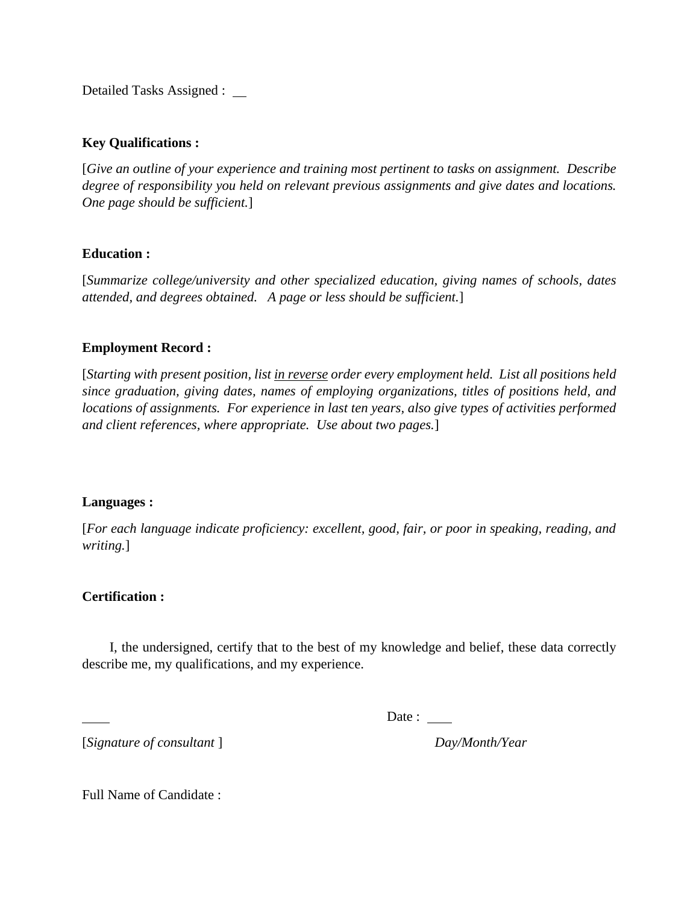Detailed Tasks Assigned :

#### **Key Qualifications :**

[*Give an outline of your experience and training most pertinent to tasks on assignment. Describe degree of responsibility you held on relevant previous assignments and give dates and locations. One page should be sufficient.*]

#### **Education :**

[*Summarize college/university and other specialized education, giving names of schools, dates attended, and degrees obtained. A page or less should be sufficient.*]

#### **Employment Record :**

[*Starting with present position, list in reverse order every employment held. List all positions held since graduation, giving dates, names of employing organizations, titles of positions held, and locations of assignments. For experience in last ten years, also give types of activities performed and client references, where appropriate. Use about two pages.*]

#### **Languages :**

[*For each language indicate proficiency: excellent, good, fair, or poor in speaking, reading, and writing.*]

#### **Certification :**

I, the undersigned, certify that to the best of my knowledge and belief, these data correctly describe me, my qualifications, and my experience.

Date :

[*Signature of consultant* ] *Day/Month/Year*

Full Name of Candidate :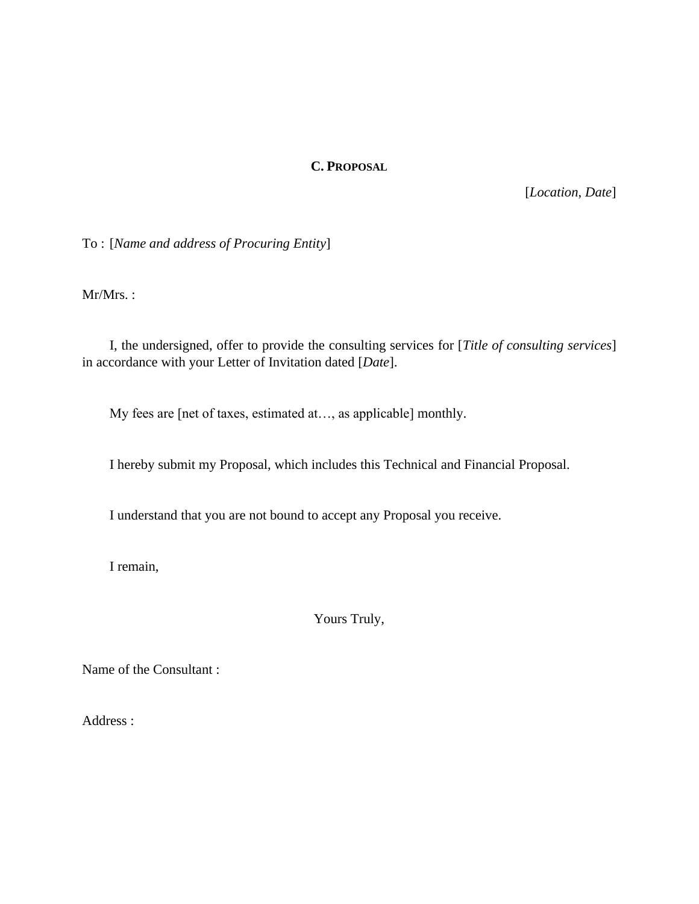#### **C. PROPOSAL**

[*Location*, *Date*]

To : [*Name and address of Procuring Entity*]

Mr/Mrs. :

I, the undersigned, offer to provide the consulting services for [*Title of consulting services*] in accordance with your Letter of Invitation dated [*Date*].

My fees are [net of taxes, estimated at…, as applicable] monthly.

I hereby submit my Proposal, which includes this Technical and Financial Proposal.

I understand that you are not bound to accept any Proposal you receive.

I remain,

Yours Truly,

Name of the Consultant :

Address :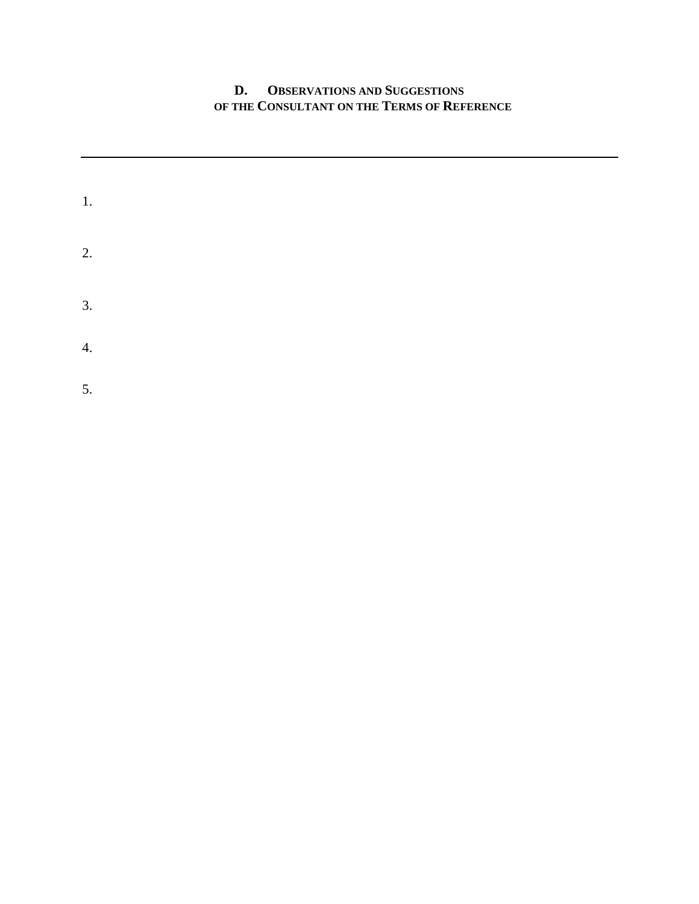# **D. OBSERVATIONS AND SUGGESTIONS OF THE CONSULTANT ON THE TERMS OF REFERENCE**

| 1. |  |  |  |
|----|--|--|--|
| 2. |  |  |  |
| 3. |  |  |  |
| 4. |  |  |  |
| 5. |  |  |  |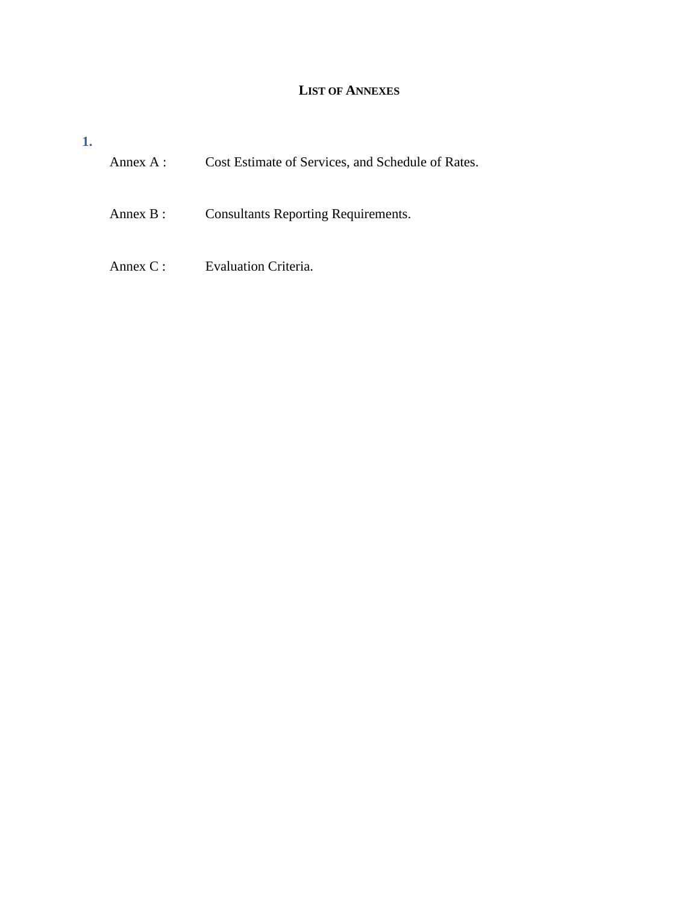# **LIST OF ANNEXES**

| Annex $A$ : | Cost Estimate of Services, and Schedule of Rates. |
|-------------|---------------------------------------------------|
| Annex $B$ : | <b>Consultants Reporting Requirements.</b>        |
| Annex $C$ : | <b>Evaluation Criteria.</b>                       |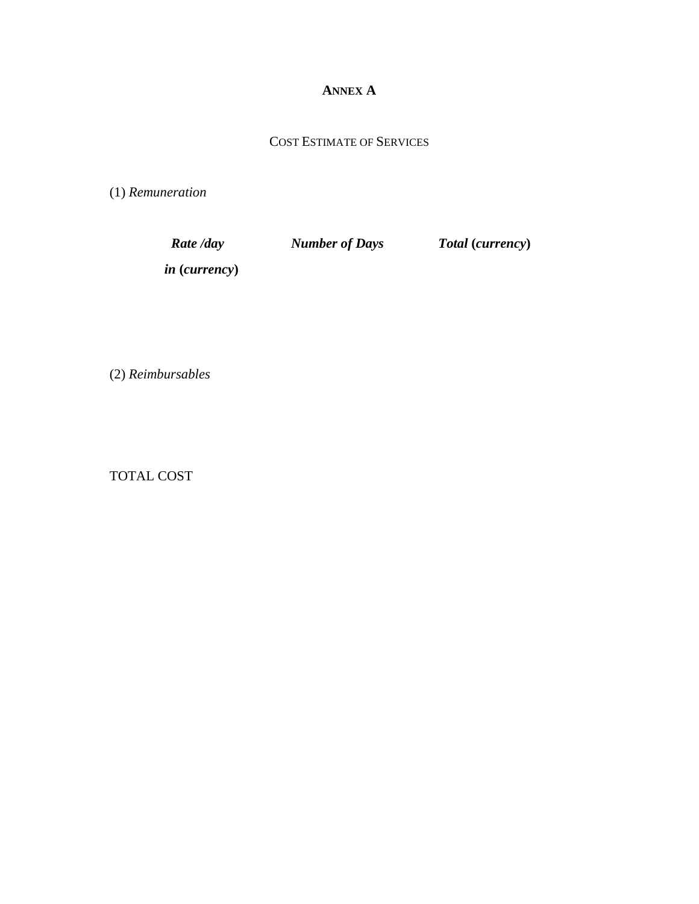# **ANNEX A**

# COST ESTIMATE OF SERVICES

(1) *Remuneration* 

| Rate /day     | <b>Number of Days</b> | Total (currency) |
|---------------|-----------------------|------------------|
| in (currency) |                       |                  |

(2) *Reimbursables*

TOTAL COST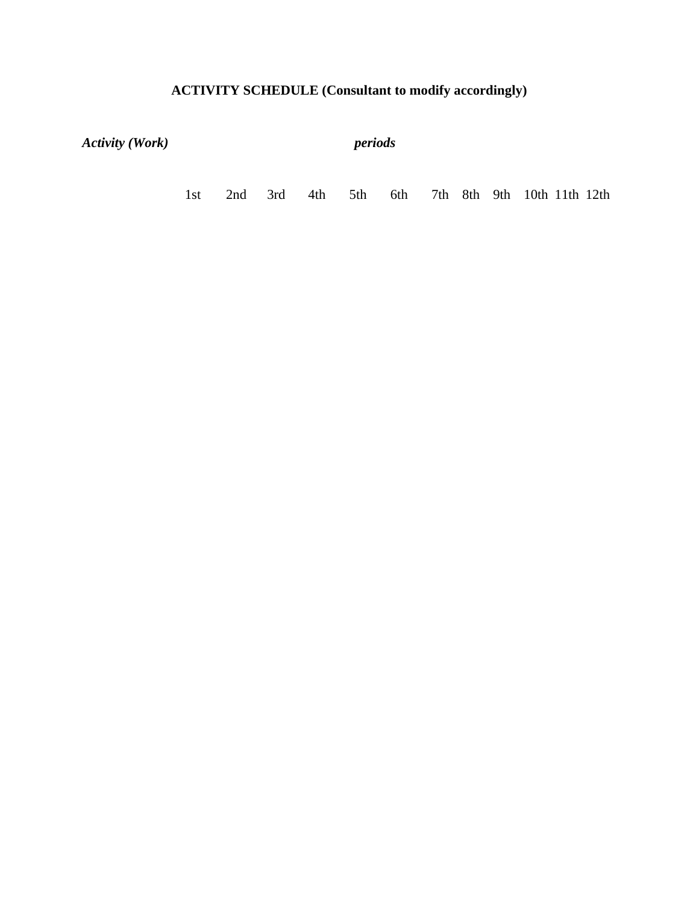# **ACTIVITY SCHEDULE (Consultant to modify accordingly)**

| <b>Activity (Work)</b> |     |     |     | periods |     |     |  |  |  |                            |  |  |
|------------------------|-----|-----|-----|---------|-----|-----|--|--|--|----------------------------|--|--|
|                        | 1st | 2nd | 3rd | 4th     | 5th | 6th |  |  |  | 7th 8th 9th 10th 11th 12th |  |  |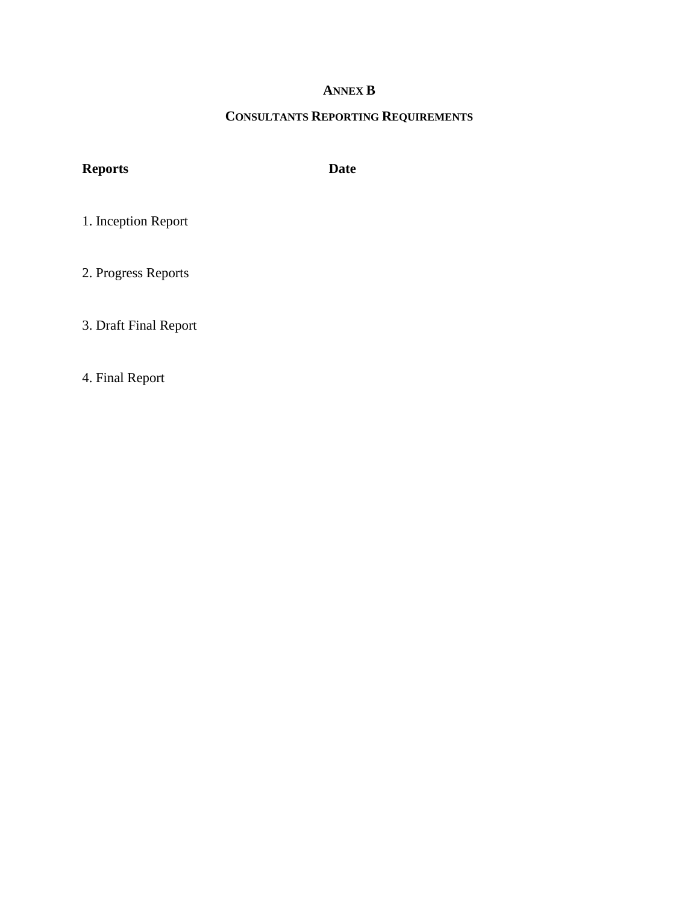# **ANNEX B**

# **CONSULTANTS REPORTING REQUIREMENTS**

# **Reports Date**

1. Inception Report

2. Progress Reports

3. Draft Final Report

4. Final Report